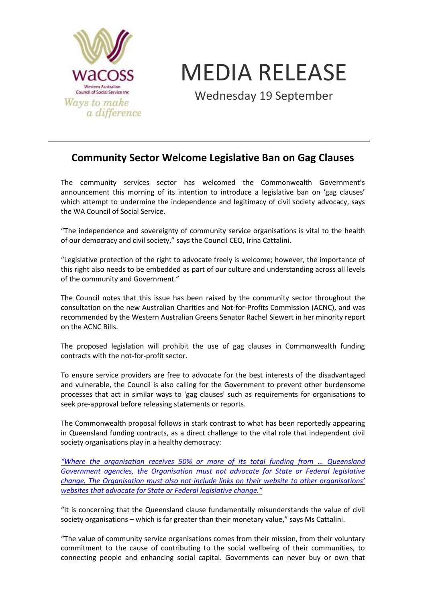

MEDIA RELEASE

Wednesday 19 September

## **Community Sector Welcome Legislative Ban on Gag Clauses**

The community services sector has welcomed the Commonwealth Government's announcement this morning of its intention to introduce a legislative ban on 'gag clauses' which attempt to undermine the independence and legitimacy of civil society advocacy, says the WA Council of Social Service.

"The independence and sovereignty of community service organisations is vital to the health of our democracy and civil society," says the Council CEO, Irina Cattalini.

"Legislative protection of the right to advocate freely is welcome; however, the importance of this right also needs to be embedded as part of our culture and understanding across all levels of the community and Government."

The Council notes that this issue has been raised by the community sector throughout the consultation on the new Australian Charities and Not-for-Profits Commission (ACNC), and was recommended by the Western Australian Greens Senator Rachel Siewert in her minority report on the ACNC Bills.

The proposed legislation will prohibit the use of gag clauses in Commonwealth funding contracts with the not-for-profit sector.

To ensure service providers are free to advocate for the best interests of the disadvantaged and vulnerable, the Council is also calling for the Government to prevent other burdensome processes that act in similar ways to 'gag clauses' such as requirements for organisations to seek pre-approval before releasing statements or reports.

The Commonwealth proposal follows in stark contrast to what has been reportedly appearing in Queensland funding contracts, as a direct challenge to the vital role that independent civil society organisations play in a healthy democracy:

*["Where the organisation receives 50% or more of its total funding from … Queensland](http://www.qls.com.au/About_QLS/News_media/Media_releases/Gag_clauses_concerning)  [Government agencies, the Organisation must not advocate for State or Federal legislative](http://www.qls.com.au/About_QLS/News_media/Media_releases/Gag_clauses_concerning)  [change. The Organisation must also not include links on their website to other organisations'](http://www.qls.com.au/About_QLS/News_media/Media_releases/Gag_clauses_concerning)  [websites that advocate for State or Federal legisla](http://www.qls.com.au/About_QLS/News_media/Media_releases/Gag_clauses_concerning)tive change."*

"It is concerning that the Queensland clause fundamentally misunderstands the value of civil society organisations – which is far greater than their monetary value," says Ms Cattalini.

"The value of community service organisations comes from their mission, from their voluntary commitment to the cause of contributing to the social wellbeing of their communities, to connecting people and enhancing social capital. Governments can never buy or own that